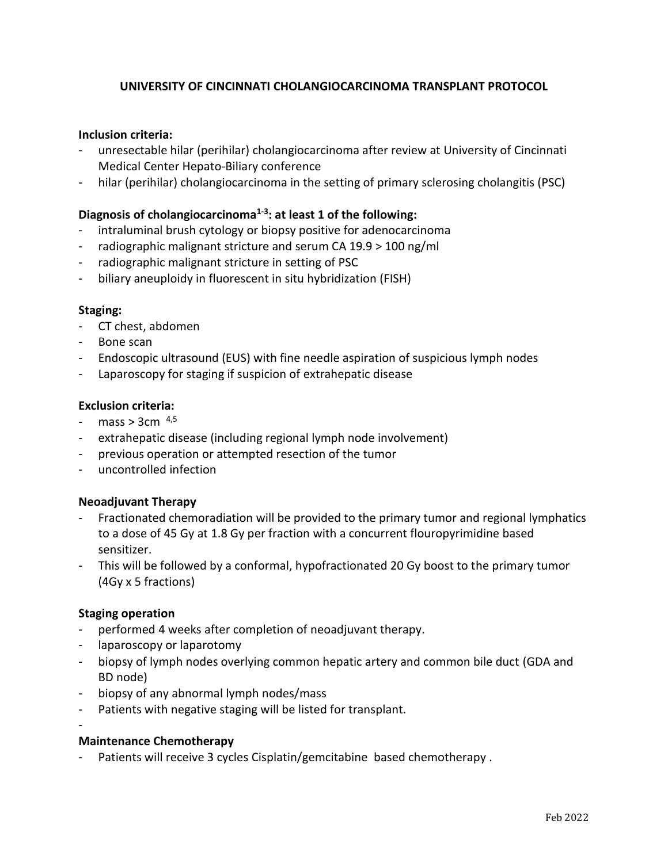# **UNIVERSITY OF CINCINNATI CHOLANGIOCARCINOMA TRANSPLANT PROTOCOL**

## **Inclusion criteria:**

- unresectable hilar (perihilar) cholangiocarcinoma after review at University of Cincinnati Medical Center Hepato-Biliary conference
- hilar (perihilar) cholangiocarcinoma in the setting of primary sclerosing cholangitis (PSC)

# **Diagnosis of cholangiocarcinoma[1-3](#page-1-0) : at least 1 of the following:**

- intraluminal brush cytology or biopsy positive for adenocarcinoma
- radiographic malignant stricture and serum CA 19.9 > 100 ng/ml
- radiographic malignant stricture in setting of PSC
- biliary aneuploidy in fluorescent in situ hybridization (FISH)

### **Staging:**

- CT chest, abdomen
- Bone scan
- Endoscopic ultrasound (EUS) with fine needle aspiration of suspicious lymph nodes
- Laparoscopy for staging if suspicion of extrahepatic disease

### **Exclusion criteria:**

- $mass > 3cm<sup>4,5</sup>$  $mass > 3cm<sup>4,5</sup>$  $mass > 3cm<sup>4,5</sup>$  $mass > 3cm<sup>4,5</sup>$
- extrahepatic disease (including regional lymph node involvement)
- previous operation or attempted resection of the tumor
- uncontrolled infection

### **Neoadjuvant Therapy**

- Fractionated chemoradiation will be provided to the primary tumor and regional lymphatics to a dose of 45 Gy at 1.8 Gy per fraction with a concurrent flouropyrimidine based sensitizer.
- This will be followed by a conformal, hypofractionated 20 Gy boost to the primary tumor (4Gy x 5 fractions)

### **Staging operation**

-

- performed 4 weeks after completion of neoadjuvant therapy.
- laparoscopy or laparotomy
- biopsy of lymph nodes overlying common hepatic artery and common bile duct (GDA and BD node)
- biopsy of any abnormal lymph nodes/mass
- Patients with negative staging will be listed for transplant.

## **Maintenance Chemotherapy**

Patients will receive 3 cycles Cisplatin/gemcitabine based chemotherapy.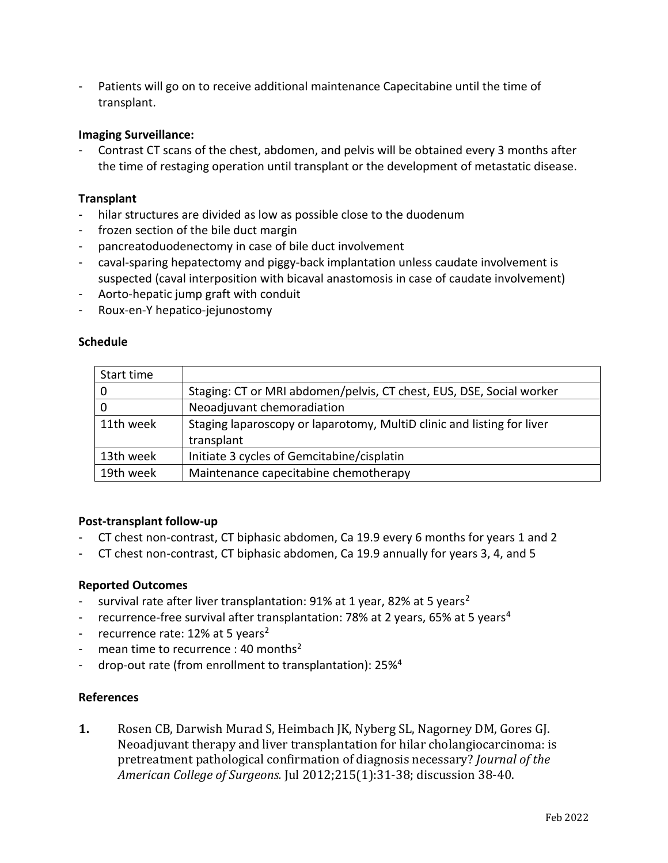- Patients will go on to receive additional maintenance Capecitabine until the time of transplant.

## **Imaging Surveillance:**

- Contrast CT scans of the chest, abdomen, and pelvis will be obtained every 3 months after the time of restaging operation until transplant or the development of metastatic disease.

## **Transplant**

- hilar structures are divided as low as possible close to the duodenum
- frozen section of the bile duct margin
- pancreatoduodenectomy in case of bile duct involvement
- caval-sparing hepatectomy and piggy-back implantation unless caudate involvement is suspected (caval interposition with bicaval anastomosis in case of caudate involvement)
- Aorto-hepatic jump graft with conduit
- Roux-en-Y hepatico-jejunostomy

## **Schedule**

| Start time |                                                                        |
|------------|------------------------------------------------------------------------|
| -0         | Staging: CT or MRI abdomen/pelvis, CT chest, EUS, DSE, Social worker   |
| 0          | Neoadjuvant chemoradiation                                             |
| 11th week  | Staging laparoscopy or laparotomy, MultiD clinic and listing for liver |
|            | transplant                                                             |
| 13th week  | Initiate 3 cycles of Gemcitabine/cisplatin                             |
| 19th week  | Maintenance capecitabine chemotherapy                                  |

### **Post-transplant follow-up**

- CT chest non-contrast, CT biphasic abdomen, Ca 19.9 every 6 months for years 1 and 2
- CT chest non-contrast, CT biphasic abdomen, Ca 19.9 annually for years 3, 4, and 5

### **Reported Outcomes**

- survival rate after liver transplantation:  $91\%$  at 1 year, 8[2](#page-2-2)% at 5 years<sup>2</sup>
- recurrence-free survival after transplantation: 78% at 2 years, 65% at 5 years<sup>[4](#page-2-0)</sup>
- recurrence rate:  $12\%$  $12\%$  $12\%$  at 5 years<sup>2</sup>
- mean time to recurrence : 40 months<sup>[2](#page-2-2)</sup>
- drop-out rate (from enrollment to transplantation): 25%<sup>[4](#page-2-0)</sup>

## **References**

<span id="page-1-0"></span>**1.** Rosen CB, Darwish Murad S, Heimbach JK, Nyberg SL, Nagorney DM, Gores GJ. Neoadjuvant therapy and liver transplantation for hilar cholangiocarcinoma: is pretreatment pathological confirmation of diagnosis necessary? *Journal of the American College of Surgeons.* Jul 2012;215(1):31-38; discussion 38-40.